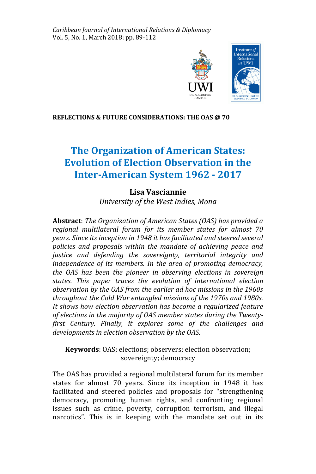*Caribbean Journal of International Relations & Diplomacy* Vol. 5, No. 1, March 2018: pp. 89-112



## **REFLECTIONS & FUTURE CONSIDERATIONS: THE OAS @ 70**

# **The Organization of American States: Evolution of Election Observation in the Inter-American System 1962 - 2017**

# **Lisa Vasciannie**

*University of the West Indies, Mona* 

**Abstract**: *The Organization of American States (OAS) has provided a regional multilateral forum for its member states for almost 70 years. Since its inception in 1948 it has facilitated and steered several policies and proposals within the mandate of achieving peace and justice and defending the sovereignty, territorial integrity and independence of its members. In the area of promoting democracy, the OAS has been the pioneer in observing elections in sovereign states. This paper traces the evolution of international election observation by the OAS from the earlier ad hoc missions in the 1960s throughout the Cold War entangled missions of the 1970s and 1980s. It shows how election observation has become a regularized feature of elections in the majority of OAS member states during the Twentyfirst Century. Finally, it explores some of the challenges and developments in election observation by the OAS.*

**Keywords**: OAS; elections; observers; election observation; sovereignty; democracy

The OAS has provided a regional multilateral forum for its member states for almost 70 years. Since its inception in 1948 it has facilitated and steered policies and proposals for "strengthening democracy, promoting human rights, and confronting regional issues such as crime, poverty, corruption terrorism, and illegal narcotics". This is in keeping with the mandate set out in its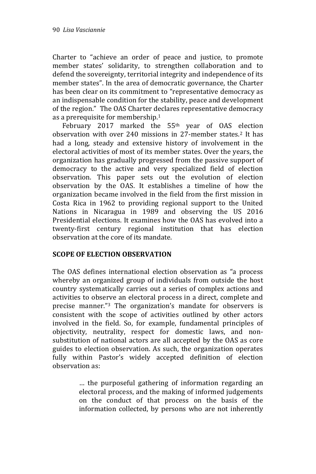Charter to "achieve an order of peace and justice, to promote member states' solidarity, to strengthen collaboration and to defend the sovereignty, territorial integrity and independence of its member states". In the area of democratic governance, the Charter has been clear on its commitment to "representative democracy as an indispensable condition for the stability, peace and development of the region." The OAS Charter declares representative democracy as a prerequisite for membership.<sup>1</sup>

 February 2017 marked the 55th year of OAS election observation with over 240 missions in 27-member states.<sup>2</sup> It has had a long, steady and extensive history of involvement in the electoral activities of most of its member states. Over the years, the organization has gradually progressed from the passive support of democracy to the active and very specialized field of election observation. This paper sets out the evolution of election observation by the OAS. It establishes a timeline of how the organization became involved in the field from the first mission in Costa Rica in 1962 to providing regional support to the United Nations in Nicaragua in 1989 and observing the US 2016 Presidential elections. It examines how the OAS has evolved into a twenty-first century regional institution that has election observation at the core of its mandate.

# **SCOPE OF ELECTION OBSERVATION**

The OAS defines international election observation as "a process whereby an organized group of individuals from outside the host country systematically carries out a series of complex actions and activities to observe an electoral process in a direct, complete and precise manner."<sup>3</sup> The organization's mandate for observers is consistent with the scope of activities outlined by other actors involved in the field. So, for example, fundamental principles of objectivity, neutrality, respect for domestic laws, and nonsubstitution of national actors are all accepted by the OAS as core guides to election observation. As such, the organization operates fully within Pastor's widely accepted definition of election observation as:

> … the purposeful gathering of information regarding an electoral process, and the making of informed judgements on the conduct of that process on the basis of the information collected, by persons who are not inherently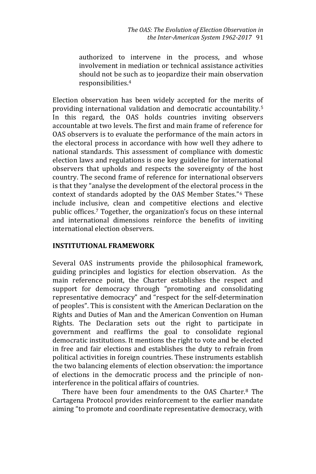authorized to intervene in the process, and whose involvement in mediation or technical assistance activities should not be such as to jeopardize their main observation responsibilities. 4

Election observation has been widely accepted for the merits of providing international validation and democratic accountability.<sup>5</sup> In this regard, the OAS holds countries inviting observers accountable at two levels. The first and main frame of reference for OAS observers is to evaluate the performance of the main actors in the electoral process in accordance with how well they adhere to national standards. This assessment of compliance with domestic election laws and regulations is one key guideline for international observers that upholds and respects the sovereignty of the host country. The second frame of reference for international observers is that they "analyse the development of the electoral process in the context of standards adopted by the OAS Member States."<sup>6</sup> These include inclusive, clean and competitive elections and elective public offices.<sup>7</sup> Together, the organization's focus on these internal and international dimensions reinforce the benefits of inviting international election observers.

# **INSTITUTIONAL FRAMEWORK**

Several OAS instruments provide the philosophical framework, guiding principles and logistics for election observation. As the main reference point, the Charter establishes the respect and support for democracy through "promoting and consolidating representative democracy" and "respect for the self-determination of peoples". This is consistent with the American Declaration on the Rights and Duties of Man and the American Convention on Human Rights. The Declaration sets out the right to participate in government and reaffirms the goal to consolidate regional democratic institutions. It mentions the right to vote and be elected in free and fair elections and establishes the duty to refrain from political activities in foreign countries. These instruments establish the two balancing elements of election observation: the importance of elections in the democratic process and the principle of noninterference in the political affairs of countries.

 There have been four amendments to the OAS Charter.<sup>8</sup> The Cartagena Protocol provides reinforcement to the earlier mandate aiming "to promote and coordinate representative democracy, with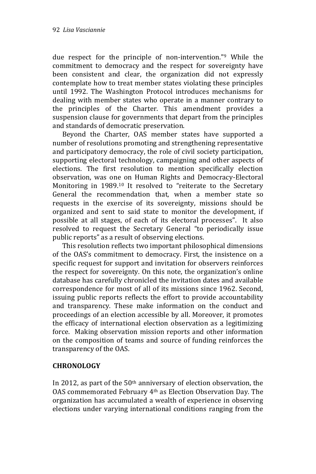due respect for the principle of non-intervention."<sup>9</sup> While the commitment to democracy and the respect for sovereignty have been consistent and clear, the organization did not expressly contemplate how to treat member states violating these principles until 1992. The Washington Protocol introduces mechanisms for dealing with member states who operate in a manner contrary to the principles of the Charter. This amendment provides a suspension clause for governments that depart from the principles and standards of democratic preservation.

 Beyond the Charter, OAS member states have supported a number of resolutions promoting and strengthening representative and participatory democracy, the role of civil society participation, supporting electoral technology, campaigning and other aspects of elections. The first resolution to mention specifically election observation, was one on Human Rights and Democracy-Electoral Monitoring in 1989.<sup>10</sup> It resolved to "reiterate to the Secretary General the recommendation that, when a member state so requests in the exercise of its sovereignty, missions should be organized and sent to said state to monitor the development, if possible at all stages, of each of its electoral processes". It also resolved to request the Secretary General "to periodically issue public reports" as a result of observing elections.

 This resolution reflects two important philosophical dimensions of the OAS's commitment to democracy. First, the insistence on a specific request for support and invitation for observers reinforces the respect for sovereignty. On this note, the organization's online database has carefully chronicled the invitation dates and available correspondence for most of all of its missions since 1962. Second, issuing public reports reflects the effort to provide accountability and transparency. These make information on the conduct and proceedings of an election accessible by all. Moreover, it promotes the efficacy of international election observation as a legitimizing force. Making observation mission reports and other information on the composition of teams and source of funding reinforces the transparency of the OAS.

# **CHRONOLOGY**

In 2012, as part of the 50th anniversary of election observation, the OAS commemorated February 4th as Election Observation Day. The organization has accumulated a wealth of experience in observing elections under varying international conditions ranging from the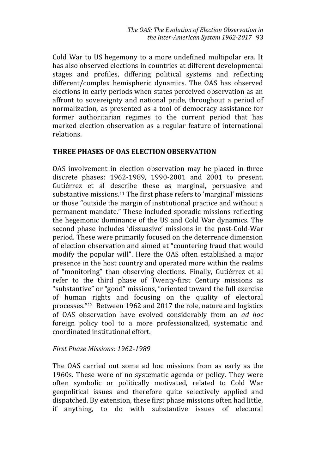Cold War to US hegemony to a more undefined multipolar era. It has also observed elections in countries at different developmental stages and profiles, differing political systems and reflecting different/complex hemispheric dynamics. The OAS has observed elections in early periods when states perceived observation as an affront to sovereignty and national pride, throughout a period of normalization, as presented as a tool of democracy assistance for former authoritarian regimes to the current period that has marked election observation as a regular feature of international relations.

# **THREE PHASES OF OAS ELECTION OBSERVATION**

OAS involvement in election observation may be placed in three discrete phases: 1962-1989, 1990-2001 and 2001 to present. Gutiérrez et al describe these as marginal, persuasive and substantive missions. <sup>11</sup> The first phase refers to 'marginal' missions or those "outside the margin of institutional practice and without a permanent mandate." These included sporadic missions reflecting the hegemonic dominance of the US and Cold War dynamics. The second phase includes 'dissuasive' missions in the post-Cold-War period. These were primarily focused on the deterrence dimension of election observation and aimed at "countering fraud that would modify the popular will". Here the OAS often established a major presence in the host country and operated more within the realms of "monitoring" than observing elections. Finally, Gutiérrez et al refer to the third phase of Twenty-first Century missions as "substantive" or "good" missions, "oriented toward the full exercise of human rights and focusing on the quality of electoral processes."12 Between 1962 and 2017 the role, nature and logistics of OAS observation have evolved considerably from an *ad hoc* foreign policy tool to a more professionalized, systematic and coordinated institutional effort.

# *First Phase Missions: 1962-1989*

The OAS carried out some ad hoc missions from as early as the 1960s. These were of no systematic agenda or policy. They were often symbolic or politically motivated, related to Cold War geopolitical issues and therefore quite selectively applied and dispatched. By extension, these first phase missions often had little, if anything, to do with substantive issues of electoral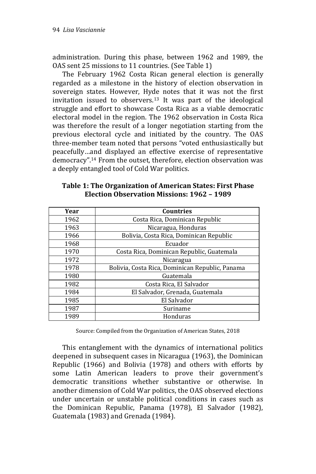administration. During this phase, between 1962 and 1989, the OAS sent 25 missions to 11 countries. (See Table 1)

 The February 1962 Costa Rican general election is generally regarded as a milestone in the history of election observation in sovereign states. However, Hyde notes that it was not the first invitation issued to observers.<sup>13</sup> It was part of the ideological struggle and effort to showcase Costa Rica as a viable democratic electoral model in the region. The 1962 observation in Costa Rica was therefore the result of a longer negotiation starting from the previous electoral cycle and initiated by the country. The OAS three-member team noted that persons "voted enthusiastically but peacefully…and displayed an effective exercise of representative democracy".<sup>14</sup> From the outset, therefore, election observation was a deeply entangled tool of Cold War politics.

| Table 1: The Organization of American States: First Phase |
|-----------------------------------------------------------|
| Election Observation Missions: 1962 - 1989                |

| Year | <b>Countries</b>                                |
|------|-------------------------------------------------|
| 1962 | Costa Rica, Dominican Republic                  |
| 1963 | Nicaragua, Honduras                             |
| 1966 | Bolivia, Costa Rica, Dominican Republic         |
| 1968 | Ecuador                                         |
| 1970 | Costa Rica, Dominican Republic, Guatemala       |
| 1972 | Nicaragua                                       |
| 1978 | Bolivia, Costa Rica, Dominican Republic, Panama |
| 1980 | Guatemala                                       |
| 1982 | Costa Rica, El Salvador                         |
| 1984 | El Salvador, Grenada, Guatemala                 |
| 1985 | El Salvador                                     |
| 1987 | Suriname                                        |
| 1989 | Honduras                                        |

Source: Compiled from the Organization of American States, 2018

 This entanglement with the dynamics of international politics deepened in subsequent cases in Nicaragua (1963), the Dominican Republic (1966) and Bolivia (1978) and others with efforts by some Latin American leaders to prove their government's democratic transitions whether substantive or otherwise. In another dimension of Cold War politics, the OAS observed elections under uncertain or unstable political conditions in cases such as the Dominican Republic, Panama (1978), El Salvador (1982), Guatemala (1983) and Grenada (1984).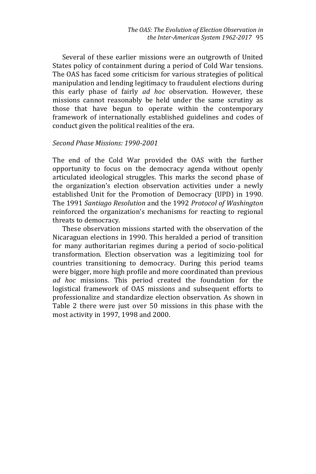Several of these earlier missions were an outgrowth of United States policy of containment during a period of Cold War tensions. The OAS has faced some criticism for various strategies of political manipulation and lending legitimacy to fraudulent elections during this early phase of fairly *ad hoc* observation. However, these missions cannot reasonably be held under the same scrutiny as those that have begun to operate within the contemporary framework of internationally established guidelines and codes of conduct given the political realities of the era.

#### *Second Phase Missions: 1990-2001*

The end of the Cold War provided the OAS with the further opportunity to focus on the democracy agenda without openly articulated ideological struggles. This marks the second phase of the organization's election observation activities under a newly established Unit for the Promotion of Democracy (UPD) in 1990. The 1991 *Santiago Resolution* and the 1992 *Protocol of Washington* reinforced the organization's mechanisms for reacting to regional threats to democracy.

 These observation missions started with the observation of the Nicaraguan elections in 1990. This heralded a period of transition for many authoritarian regimes during a period of socio-political transformation. Election observation was a legitimizing tool for countries transitioning to democracy. During this period teams were bigger, more high profile and more coordinated than previous *ad hoc* missions. This period created the foundation for the logistical framework of OAS missions and subsequent efforts to professionalize and standardize election observation. As shown in Table 2 there were just over 50 missions in this phase with the most activity in 1997, 1998 and 2000.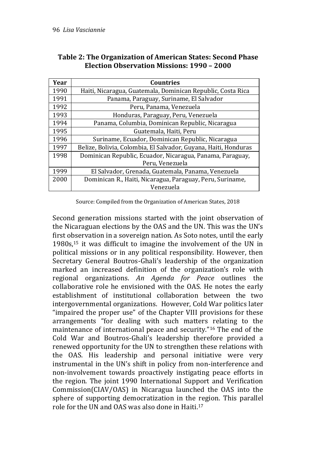| Year | <b>Countries</b>                                                |
|------|-----------------------------------------------------------------|
| 1990 | Haiti, Nicaragua, Guatemala, Dominican Republic, Costa Rica     |
| 1991 | Panama, Paraguay, Suriname, El Salvador                         |
| 1992 | Peru, Panama, Venezuela                                         |
| 1993 | Honduras, Paraguay, Peru, Venezuela                             |
| 1994 | Panama, Columbia, Dominican Republic, Nicaragua                 |
| 1995 | Guatemala, Haiti, Peru                                          |
| 1996 | Suriname, Ecuador, Dominican Republic, Nicaragua                |
| 1997 | Belize, Bolivia, Colombia, El Salvador, Guyana, Haiti, Honduras |
| 1998 | Dominican Republic, Ecuador, Nicaragua, Panama, Paraguay,       |
|      | Peru, Venezuela                                                 |
| 1999 | El Salvador, Grenada, Guatemala, Panama, Venezuela              |
| 2000 | Dominican R., Haiti, Nicaragua, Paraguay, Peru, Suriname,       |
|      | Venezuela                                                       |

# **Table 2: The Organization of American States: Second Phase Election Observation Missions: 1990 – 2000**

Source: Compiled from the Organization of American States, 2018

Second generation missions started with the joint observation of the Nicaraguan elections by the OAS and the UN. This was the UN's first observation in a sovereign nation. As Soto notes, until the early 1980s,<sup>15</sup> it was difficult to imagine the involvement of the UN in political missions or in any political responsibility. However, then Secretary General Boutros-Ghali's leadership of the organization marked an increased definition of the organization's role with regional organizations. *An Agenda for Peace* outlines the collaborative role he envisioned with the OAS. He notes the early establishment of institutional collaboration between the two intergovernmental organizations. However, Cold War politics later "impaired the proper use" of the Chapter VIII provisions for these arrangements "for dealing with such matters relating to the maintenance of international peace and security."<sup>16</sup> The end of the Cold War and Boutros-Ghali's leadership therefore provided a renewed opportunity for the UN to strengthen these relations with the OAS. His leadership and personal initiative were very instrumental in the UN's shift in policy from non-interference and non-involvement towards proactively instigating peace efforts in the region. The joint 1990 International Support and Verification Commission(CIAV/OAS) in Nicaragua launched the OAS into the sphere of supporting democratization in the region. This parallel role for the UN and OAS was also done in Haiti. 17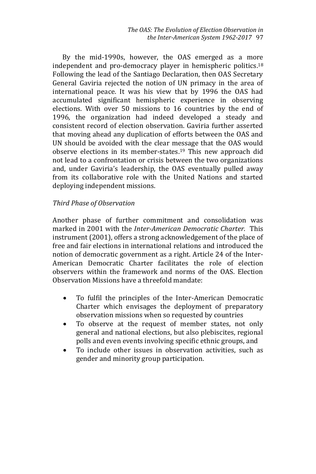By the mid-1990s, however, the OAS emerged as a more independent and pro-democracy player in hemispheric politics. 18 Following the lead of the Santiago Declaration, then OAS Secretary General Gaviria rejected the notion of UN primacy in the area of international peace. It was his view that by 1996 the OAS had accumulated significant hemispheric experience in observing elections. With over 50 missions to 16 countries by the end of 1996, the organization had indeed developed a steady and consistent record of election observation. Gaviria further asserted that moving ahead any duplication of efforts between the OAS and UN should be avoided with the clear message that the OAS would observe elections in its member-states. <sup>19</sup> This new approach did not lead to a confrontation or crisis between the two organizations and, under Gaviria's leadership, the OAS eventually pulled away from its collaborative role with the United Nations and started deploying independent missions.

# *Third Phase of Observation*

Another phase of further commitment and consolidation was marked in 2001 with the *Inter-American Democratic Charter.* This instrument (2001), offers a strong acknowledgement of the place of free and fair elections in international relations and introduced the notion of democratic government as a right. Article 24 of the Inter-American Democratic Charter facilitates the role of election observers within the framework and norms of the OAS. Election Observation Missions have a threefold mandate:

- To fulfil the principles of the Inter-American Democratic Charter which envisages the deployment of preparatory observation missions when so requested by countries
- To observe at the request of member states, not only general and national elections, but also plebiscites, regional polls and even events involving specific ethnic groups, and
- To include other issues in observation activities, such as gender and minority group participation.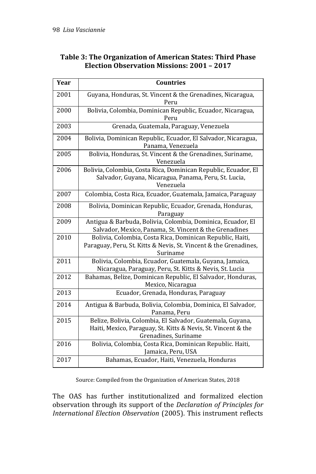# **Table 3: The Organization of American States: Third Phase Election Observation Missions: 2001 – 2017**

| Year | <b>Countries</b>                                                                                                                                    |
|------|-----------------------------------------------------------------------------------------------------------------------------------------------------|
| 2001 | Guyana, Honduras, St. Vincent & the Grenadines, Nicaragua,<br>Peru                                                                                  |
| 2000 | Bolivia, Colombia, Dominican Republic, Ecuador, Nicaragua,<br>Peru                                                                                  |
| 2003 | Grenada, Guatemala, Paraguay, Venezuela                                                                                                             |
| 2004 | Bolivia, Dominican Republic, Ecuador, El Salvador, Nicaragua,<br>Panama, Venezuela                                                                  |
| 2005 | Bolivia, Honduras, St. Vincent & the Grenadines, Suriname,<br>Venezuela                                                                             |
| 2006 | Bolivia, Colombia, Costa Rica, Dominican Republic, Ecuador, El<br>Salvador, Guyana, Nicaragua, Panama, Peru, St. Lucia,<br>Venezuela                |
| 2007 | Colombia, Costa Rica, Ecuador, Guatemala, Jamaica, Paraguay                                                                                         |
| 2008 | Bolivia, Dominican Republic, Ecuador, Grenada, Honduras,<br>Paraguay                                                                                |
| 2009 | Antigua & Barbuda, Bolivia, Colombia, Dominica, Ecuador, El<br>Salvador, Mexico, Panama, St. Vincent & the Grenadines                               |
| 2010 | Bolivia, Colombia, Costa Rica, Dominican Republic, Haiti,<br>Paraguay, Peru, St. Kitts & Nevis, St. Vincent & the Grenadines,<br>Suriname           |
| 2011 | Bolivia, Colombia, Ecuador, Guatemala, Guyana, Jamaica,<br>Nicaragua, Paraguay, Peru, St. Kitts & Nevis, St. Lucia                                  |
| 2012 | Bahamas, Belize, Dominican Republic, El Salvador, Honduras,<br>Mexico, Nicaragua                                                                    |
| 2013 | Ecuador, Grenada, Honduras, Paraguay                                                                                                                |
| 2014 | Antigua & Barbuda, Bolivia, Colombia, Dominica, El Salvador,<br>Panama, Peru                                                                        |
| 2015 | Belize, Bolivia, Colombia, El Salvador, Guatemala, Guyana,<br>Haiti, Mexico, Paraguay, St. Kitts & Nevis, St. Vincent & the<br>Grenadines, Suriname |
| 2016 | Bolivia, Colombia, Costa Rica, Dominican Republic. Haiti,<br>Jamaica, Peru, USA                                                                     |
| 2017 | Bahamas, Ecuador, Haiti, Venezuela, Honduras                                                                                                        |

Source: Compiled from the Organization of American States, 2018

The OAS has further institutionalized and formalized election observation through its support of the *Declaration of Principles for International Election Observation* (2005). This instrument reflects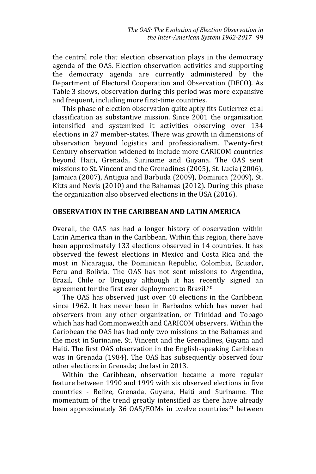the central role that election observation plays in the democracy agenda of the OAS. Election observation activities and supporting the democracy agenda are currently administered by the Department of Electoral Cooperation and Observation (DECO). As Table 3 shows, observation during this period was more expansive and frequent, including more first-time countries.

 This phase of election observation quite aptly fits Gutierrez et al classification as substantive mission. Since 2001 the organization intensified and systemized it activities observing over 134 elections in 27 member-states. There was growth in dimensions of observation beyond logistics and professionalism. Twenty-first Century observation widened to include more CARICOM countries beyond Haiti, Grenada, Suriname and Guyana. The OAS sent missions to St. Vincent and the Grenadines (2005), St. Lucia (2006), Jamaica (2007), Antigua and Barbuda (2009), Dominica (2009), St. Kitts and Nevis (2010) and the Bahamas (2012). During this phase the organization also observed elections in the USA (2016).

# **OBSERVATION IN THE CARIBBEAN AND LATIN AMERICA**

Overall, the OAS has had a longer history of observation within Latin America than in the Caribbean. Within this region, there have been approximately 133 elections observed in 14 countries. It has observed the fewest elections in Mexico and Costa Rica and the most in Nicaragua, the Dominican Republic, Colombia, Ecuador, Peru and Bolivia. The OAS has not sent missions to Argentina, Brazil, Chile or Uruguay although it has recently signed an agreement for the first ever deployment to Brazil.<sup>20</sup>

 The OAS has observed just over 40 elections in the Caribbean since 1962. It has never been in Barbados which has never had observers from any other organization, or Trinidad and Tobago which has had Commonwealth and CARICOM observers. Within the Caribbean the OAS has had only two missions to the Bahamas and the most in Suriname, St. Vincent and the Grenadines, Guyana and Haiti. The first OAS observation in the English-speaking Caribbean was in Grenada (1984). The OAS has subsequently observed four other elections in Grenada; the last in 2013.

 Within the Caribbean, observation became a more regular feature between 1990 and 1999 with six observed elections in five countries - Belize, Grenada, Guyana, Haiti and Suriname. The momentum of the trend greatly intensified as there have already been approximately 36 OAS/EOMs in twelve countries<sup>21</sup> between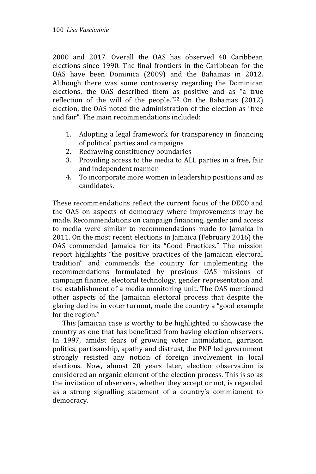2000 and 2017. Overall the OAS has observed 40 Caribbean elections since 1990. The final frontiers in the Caribbean for the OAS have been Dominica (2009) and the Bahamas in 2012. Although there was some controversy regarding the Dominican elections, the OAS described them as positive and as "a true reflection of the will of the people."<sup>22</sup> On the Bahamas (2012) election, the OAS noted the administration of the election as "free and fair". The main recommendations included:

- 1. Adopting a legal framework for transparency in financing of political parties and campaigns
- 2. Redrawing constituency boundaries
- 3. Providing access to the media to ALL parties in a free, fair and independent manner
- 4. To incorporate more women in leadership positions and as candidates.

These recommendations reflect the current focus of the DECO and the OAS on aspects of democracy where improvements may be made. Recommendations on campaign financing, gender and access to media were similar to recommendations made to Jamaica in 2011. On the most recent elections in Jamaica (February 2016) the OAS commended Jamaica for its "Good Practices." The mission report highlights "the positive practices of the Jamaican electoral tradition" and commends the country for implementing the recommendations formulated by previous OAS missions of campaign finance, electoral technology, gender representation and the establishment of a media monitoring unit. The OAS mentioned other aspects of the Jamaican electoral process that despite the glaring decline in voter turnout, made the country a "good example for the region."

 This Jamaican case is worthy to be highlighted to showcase the country as one that has benefitted from having election observers. In 1997, amidst fears of growing voter intimidation, garrison politics, partisanship, apathy and distrust, the PNP led government strongly resisted any notion of foreign involvement in local elections. Now, almost 20 years later, election observation is considered an organic element of the election process. This is so as the invitation of observers, whether they accept or not, is regarded as a strong signalling statement of a country's commitment to democracy.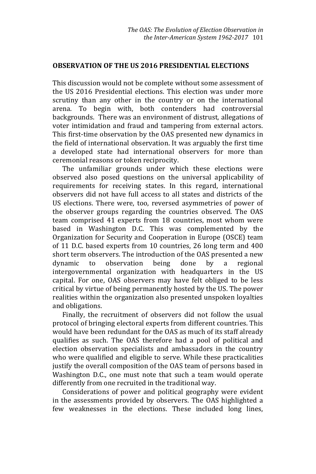#### **OBSERVATION OF THE US 2016 PRESIDENTIAL ELECTIONS**

This discussion would not be complete without some assessment of the US 2016 Presidential elections. This election was under more scrutiny than any other in the country or on the international arena. To begin with, both contenders had controversial backgrounds. There was an environment of distrust, allegations of voter intimidation and fraud and tampering from external actors. This first-time observation by the OAS presented new dynamics in the field of international observation. It was arguably the first time a developed state had international observers for more than ceremonial reasons or token reciprocity.

 The unfamiliar grounds under which these elections were observed also posed questions on the universal applicability of requirements for receiving states. In this regard, international observers did not have full access to all states and districts of the US elections. There were, too, reversed asymmetries of power of the observer groups regarding the countries observed. The OAS team comprised 41 experts from 18 countries, most whom were based in Washington D.C. This was complemented by the Organization for Security and Cooperation in Europe (OSCE) team of 11 D.C. based experts from 10 countries, 26 long term and 400 short term observers. The introduction of the OAS presented a new dynamic to observation being done by a regional intergovernmental organization with headquarters in the US capital. For one, OAS observers may have felt obliged to be less critical by virtue of being permanently hosted by the US. The power realities within the organization also presented unspoken loyalties and obligations.

 Finally, the recruitment of observers did not follow the usual protocol of bringing electoral experts from different countries. This would have been redundant for the OAS as much of its staff already qualifies as such. The OAS therefore had a pool of political and election observation specialists and ambassadors in the country who were qualified and eligible to serve. While these practicalities justify the overall composition of the OAS team of persons based in Washington D.C., one must note that such a team would operate differently from one recruited in the traditional way.

 Considerations of power and political geography were evident in the assessments provided by observers. The OAS highlighted a few weaknesses in the elections. These included long lines,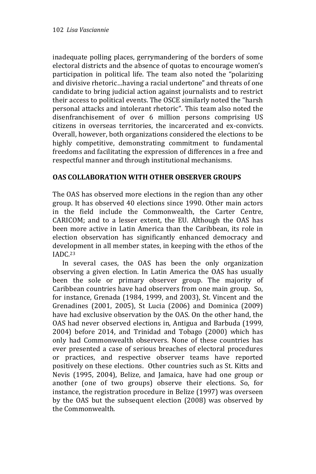inadequate polling places, gerrymandering of the borders of some electoral districts and the absence of quotas to encourage women's participation in political life. The team also noted the "polarizing and divisive rhetoric…having a racial undertone" and threats of one candidate to bring judicial action against journalists and to restrict their access to political events. The OSCE similarly noted the "harsh personal attacks and intolerant rhetoric". This team also noted the disenfranchisement of over 6 million persons comprising US citizens in overseas territories, the incarcerated and ex-convicts. Overall, however, both organizations considered the elections to be highly competitive, demonstrating commitment to fundamental freedoms and facilitating the expression of differences in a free and respectful manner and through institutional mechanisms.

# **OAS COLLABORATION WITH OTHER OBSERVER GROUPS**

The OAS has observed more elections in the region than any other group. It has observed 40 elections since 1990. Other main actors in the field include the Commonwealth, the Carter Centre, CARICOM; and to a lesser extent, the EU. Although the OAS has been more active in Latin America than the Caribbean, its role in election observation has significantly enhanced democracy and development in all member states, in keeping with the ethos of the IADC.<sup>23</sup>

 In several cases, the OAS has been the only organization observing a given election. In Latin America the OAS has usually been the sole or primary observer group. The majority of Caribbean countries have had observers from one main group. So, for instance, Grenada (1984, 1999, and 2003), St. Vincent and the Grenadines (2001, 2005), St Lucia (2006) and Dominica (2009) have had exclusive observation by the OAS. On the other hand, the OAS had never observed elections in, Antigua and Barbuda (1999, 2004) before 2014, and Trinidad and Tobago (2000) which has only had Commonwealth observers. None of these countries has ever presented a case of serious breaches of electoral procedures or practices, and respective observer teams have reported positively on these elections. Other countries such as St. Kitts and Nevis (1995, 2004), Belize, and Jamaica, have had one group or another (one of two groups) observe their elections. So, for instance, the registration procedure in Belize (1997) was overseen by the OAS but the subsequent election (2008) was observed by the Commonwealth.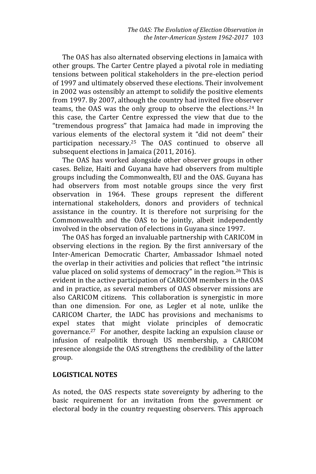The OAS has also alternated observing elections in Jamaica with other groups. The Carter Centre played a pivotal role in mediating tensions between political stakeholders in the pre-election period of 1997 and ultimately observed these elections. Their involvement in 2002 was ostensibly an attempt to solidify the positive elements from 1997. By 2007, although the country had invited five observer teams, the OAS was the only group to observe the elections.<sup>24</sup> In this case, the Carter Centre expressed the view that due to the "tremendous progress" that Jamaica had made in improving the various elements of the electoral system it "did not deem" their participation necessary.<sup>25</sup> The OAS continued to observe all subsequent elections in Jamaica (2011, 2016).

 The OAS has worked alongside other observer groups in other cases. Belize, Haiti and Guyana have had observers from multiple groups including the Commonwealth, EU and the OAS. Guyana has had observers from most notable groups since the very first observation in 1964. These groups represent the different international stakeholders, donors and providers of technical assistance in the country. It is therefore not surprising for the Commonwealth and the OAS to be jointly, albeit independently involved in the observation of elections in Guyana since 1997.

 The OAS has forged an invaluable partnership with CARICOM in observing elections in the region. By the first anniversary of the Inter-American Democratic Charter, Ambassador Ishmael noted the overlap in their activities and policies that reflect "the intrinsic value placed on solid systems of democracy" in the region.<sup>26</sup> This is evident in the active participation of CARICOM members in the OAS and in practice, as several members of OAS observer missions are also CARICOM citizens. This collaboration is synergistic in more than one dimension. For one, as Legler et al note, unlike the CARICOM Charter, the IADC has provisions and mechanisms to expel states that might violate principles of democratic governance.27 For another, despite lacking an expulsion clause or infusion of realpolitik through US membership, a CARICOM presence alongside the OAS strengthens the credibility of the latter group.

# **LOGISTICAL NOTES**

As noted, the OAS respects state sovereignty by adhering to the basic requirement for an invitation from the government or electoral body in the country requesting observers. This approach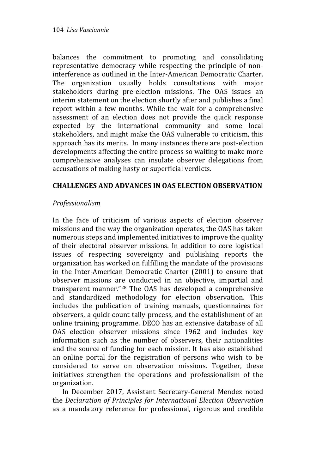balances the commitment to promoting and consolidating representative democracy while respecting the principle of noninterference as outlined in the Inter-American Democratic Charter. The organization usually holds consultations with major stakeholders during pre-election missions. The OAS issues an interim statement on the election shortly after and publishes a final report within a few months. While the wait for a comprehensive assessment of an election does not provide the quick response expected by the international community and some local stakeholders, and might make the OAS vulnerable to criticism, this approach has its merits. In many instances there are post-election developments affecting the entire process so waiting to make more comprehensive analyses can insulate observer delegations from accusations of making hasty or superficial verdicts.

# **CHALLENGES AND ADVANCES IN OAS ELECTION OBSERVATION**

# *Professionalism*

In the face of criticism of various aspects of election observer missions and the way the organization operates, the OAS has taken numerous steps and implemented initiatives to improve the quality of their electoral observer missions. In addition to core logistical issues of respecting sovereignty and publishing reports the organization has worked on fulfilling the mandate of the provisions in the Inter-American Democratic Charter (2001) to ensure that observer missions are conducted in an objective, impartial and transparent manner."<sup>28</sup> The OAS has developed a comprehensive and standardized methodology for election observation. This includes the publication of training manuals, questionnaires for observers, a quick count tally process, and the establishment of an online training programme. DECO has an extensive database of all OAS election observer missions since 1962 and includes key information such as the number of observers, their nationalities and the source of funding for each mission. It has also established an online portal for the registration of persons who wish to be considered to serve on observation missions. Together, these initiatives strengthen the operations and professionalism of the organization.

 In December 2017, Assistant Secretary-General Mendez noted the *Declaration of Principles for International Election Observation* as a mandatory reference for professional, rigorous and credible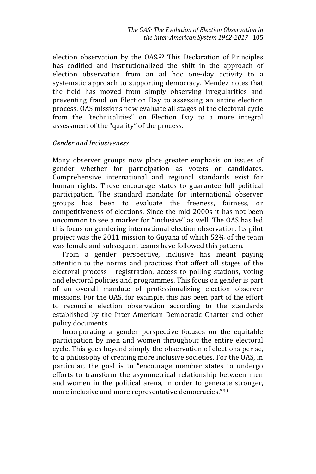election observation by the OAS.<sup>29</sup> This Declaration of Principles has codified and institutionalized the shift in the approach of election observation from an ad hoc one-day activity to a systematic approach to supporting democracy. Mendez notes that the field has moved from simply observing irregularities and preventing fraud on Election Day to assessing an entire election process. OAS missions now evaluate all stages of the electoral cycle from the "technicalities" on Election Day to a more integral assessment of the "quality" of the process.

#### *Gender and Inclusiveness*

Many observer groups now place greater emphasis on issues of gender whether for participation as voters or candidates. Comprehensive international and regional standards exist for human rights. These encourage states to guarantee full political participation. The standard mandate for international observer groups has been to evaluate the freeness, fairness, or competitiveness of elections. Since the mid-2000s it has not been uncommon to see a marker for "inclusive" as well. The OAS has led this focus on gendering international election observation. Its pilot project was the 2011 mission to Guyana of which 52% of the team was female and subsequent teams have followed this pattern.

 From a gender perspective, inclusive has meant paying attention to the norms and practices that affect all stages of the electoral process - registration, access to polling stations, voting and electoral policies and programmes. This focus on gender is part of an overall mandate of professionalizing election observer missions. For the OAS, for example, this has been part of the effort to reconcile election observation according to the standards established by the Inter-American Democratic Charter and other policy documents.

 Incorporating a gender perspective focuses on the equitable participation by men and women throughout the entire electoral cycle. This goes beyond simply the observation of elections per se, to a philosophy of creating more inclusive societies. For the OAS, in particular, the goal is to "encourage member states to undergo efforts to transform the asymmetrical relationship between men and women in the political arena, in order to generate stronger, more inclusive and more representative democracies."30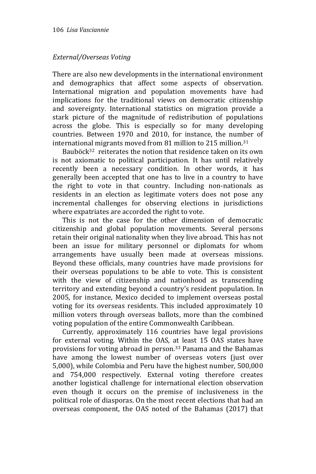# *External/Overseas Voting*

There are also new developments in the international environment and demographics that affect some aspects of observation. International migration and population movements have had implications for the traditional views on democratic citizenship and sovereignty. International statistics on migration provide a stark picture of the magnitude of redistribution of populations across the globe. This is especially so for many developing countries. Between 1970 and 2010, for instance, the number of international migrants moved from 81 million to 215 million. 31

Bauböck<sup>32</sup> reiterates the notion that residence taken on its own is not axiomatic to political participation. It has until relatively recently been a necessary condition. In other words, it has generally been accepted that one has to live in a country to have the right to vote in that country. Including non-nationals as residents in an election as legitimate voters does not pose any incremental challenges for observing elections in jurisdictions where expatriates are accorded the right to vote.

 This is not the case for the other dimension of democratic citizenship and global population movements. Several persons retain their original nationality when they live abroad. This has not been an issue for military personnel or diplomats for whom arrangements have usually been made at overseas missions. Beyond these officials, many countries have made provisions for their overseas populations to be able to vote. This is consistent with the view of citizenship and nationhood as transcending territory and extending beyond a country's resident population. In 2005, for instance, Mexico decided to implement overseas postal voting for its overseas residents. This included approximately 10 million voters through overseas ballots, more than the combined voting population of the entire Commonwealth Caribbean.

 Currently, approximately 116 countries have legal provisions for external voting. Within the OAS, at least 15 OAS states have provisions for voting abroad in person.<sup>33</sup> Panama and the Bahamas have among the lowest number of overseas voters (just over 5,000), while Colombia and Peru have the highest number, 500,000 and 754,000 respectively. External voting therefore creates another logistical challenge for international election observation even though it occurs on the premise of inclusiveness in the political role of diasporas. On the most recent elections that had an overseas component, the OAS noted of the Bahamas (2017) that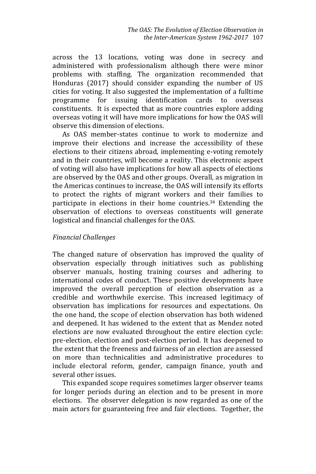across the 13 locations, voting was done in secrecy and administered with professionalism although there were minor problems with staffing. The organization recommended that Honduras (2017) should consider expanding the number of US cities for voting. It also suggested the implementation of a fulltime programme for issuing identification cards to overseas constituents. It is expected that as more countries explore adding overseas voting it will have more implications for how the OAS will observe this dimension of elections.

 As OAS member-states continue to work to modernize and improve their elections and increase the accessibility of these elections to their citizens abroad, implementing e-voting remotely and in their countries, will become a reality. This electronic aspect of voting will also have implications for how all aspects of elections are observed by the OAS and other groups. Overall, as migration in the Americas continues to increase, the OAS will intensify its efforts to protect the rights of migrant workers and their families to participate in elections in their home countries.<sup>34</sup> Extending the observation of elections to overseas constituents will generate logistical and financial challenges for the OAS.

# *Financial Challenges*

The changed nature of observation has improved the quality of observation especially through initiatives such as publishing observer manuals, hosting training courses and adhering to international codes of conduct. These positive developments have improved the overall perception of election observation as a credible and worthwhile exercise. This increased legitimacy of observation has implications for resources and expectations. On the one hand, the scope of election observation has both widened and deepened. It has widened to the extent that as Mendez noted elections are now evaluated throughout the entire election cycle: pre-election, election and post-election period. It has deepened to the extent that the freeness and fairness of an election are assessed on more than technicalities and administrative procedures to include electoral reform, gender, campaign finance, youth and several other issues.

 This expanded scope requires sometimes larger observer teams for longer periods during an election and to be present in more elections. The observer delegation is now regarded as one of the main actors for guaranteeing free and fair elections. Together, the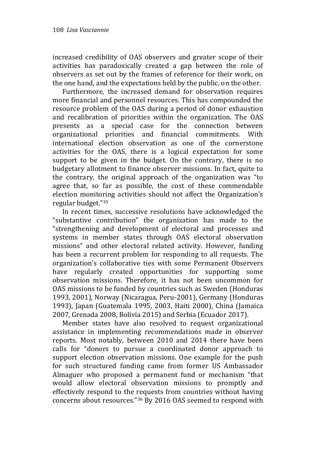increased credibility of OAS observers and greater scope of their activities has paradoxically created a gap between the role of observers as set out by the frames of reference for their work, on the one hand, and the expectations held by the public, on the other.

 Furthermore, the increased demand for observation requires more financial and personnel resources. This has compounded the resource problem of the OAS during a period of donor exhaustion and recalibration of priorities within the organization. The OAS presents as a special case for the connection between organizational priorities and financial commitments. With international election observation as one of the cornerstone activities for the OAS, there is a logical expectation for some support to be given in the budget. On the contrary, there is no budgetary allotment to finance observer missions. In fact, quite to the contrary, the original approach of the organization was "to agree that, so far as possible, the cost of these commendable election monitoring activities should not affect the Organization's regular budget."<sup>35</sup>

 In recent times, successive resolutions have acknowledged the "substantive contribution" the organization has made to the "strengthening and development of electoral and processes and systems in member states through OAS electoral observation missions" and other electoral related activity. However, funding has been a recurrent problem for responding to all requests. The organization's collaborative ties with some Permanent Observers have regularly created opportunities for supporting some observation missions. Therefore, it has not been uncommon for OAS missions to be funded by countries such as Sweden (Honduras 1993, 2001), Norway (Nicaragua, Peru-2001), Germany (Honduras 1993), Japan (Guatemala 1995, 2003, Haiti 2000), China (Jamaica 2007, Grenada 2008, Bolivia 2015) and Serbia (Ecuador 2017).

 Member states have also resolved to request organizational assistance in implementing recommendations made in observer reports. Most notably, between 2010 and 2014 there have been calls for "donors to pursue a coordinated donor approach to support election observation missions. One example for the push for such structured funding came from former US Ambassador Almaguer who proposed a permanent fund or mechanism "that would allow electoral observation missions to promptly and effectively respond to the requests from countries without having concerns about resources."<sup>36</sup> By 2016 OAS seemed to respond with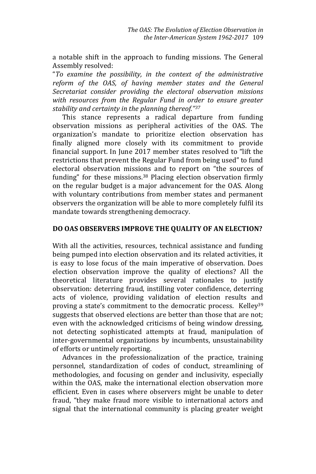a notable shift in the approach to funding missions. The General Assembly resolved:

"*To examine the possibility, in the context of the administrative reform of the OAS, of having member states and the General Secretariat consider providing the electoral observation missions with resources from the Regular Fund in order to ensure greater stability and certainty in the planning thereof."<sup>37</sup>*

 This stance represents a radical departure from funding observation missions as peripheral activities of the OAS. The organization's mandate to prioritize election observation has finally aligned more closely with its commitment to provide financial support. In June 2017 member states resolved to "lift the restrictions that prevent the Regular Fund from being used" to fund electoral observation missions and to report on "the sources of funding" for these missions.<sup>38</sup> Placing election observation firmly on the regular budget is a major advancement for the OAS. Along with voluntary contributions from member states and permanent observers the organization will be able to more completely fulfil its mandate towards strengthening democracy.

#### **DO OAS OBSERVERS IMPROVE THE QUALITY OF AN ELECTION?**

With all the activities, resources, technical assistance and funding being pumped into election observation and its related activities, it is easy to lose focus of the main imperative of observation. Does election observation improve the quality of elections? All the theoretical literature provides several rationales to justify observation: deterring fraud, instilling voter confidence, deterring acts of violence, providing validation of election results and proving a state's commitment to the democratic process. Kelley<sup>39</sup> suggests that observed elections are better than those that are not; even with the acknowledged criticisms of being window dressing, not detecting sophisticated attempts at fraud, manipulation of inter-governmental organizations by incumbents, unsustainability of efforts or untimely reporting.

 Advances in the professionalization of the practice, training personnel, standardization of codes of conduct, streamlining of methodologies, and focusing on gender and inclusivity, especially within the OAS, make the international election observation more efficient. Even in cases where observers might be unable to deter fraud, "they make fraud more visible to international actors and signal that the international community is placing greater weight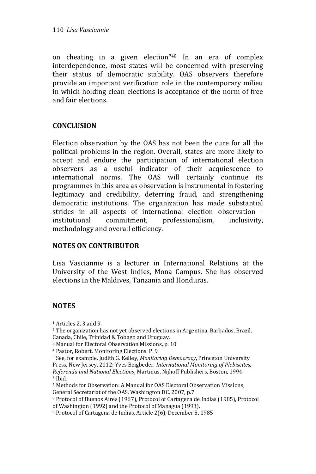on cheating in a given election"<sup>40</sup> In an era of complex interdependence, most states will be concerned with preserving their status of democratic stability. OAS observers therefore provide an important verification role in the contemporary milieu in which holding clean elections is acceptance of the norm of free and fair elections.

#### **CONCLUSION**

Election observation by the OAS has not been the cure for all the political problems in the region. Overall, states are more likely to accept and endure the participation of international election observers as a useful indicator of their acquiescence to international norms. The OAS will certainly continue its programmes in this area as observation is instrumental in fostering legitimacy and credibility, deterring fraud, and strengthening democratic institutions. The organization has made substantial strides in all aspects of international election observation institutional commitment, professionalism, inclusivity, methodology and overall efficiency.

#### **NOTES ON CONTRIBUTOR**

Lisa Vasciannie is a lecturer in International Relations at the University of the West Indies, Mona Campus. She has observed elections in the Maldives, Tanzania and Honduras.

# **NOTES**

<sup>1</sup> Articles 2, 3 and 9.

<sup>2</sup> The organization has not yet observed elections in Argentina, Barbados, Brazil, Canada, Chile, Trinidad & Tobago and Uruguay.

- <sup>3</sup> Manual for Electoral Observation Missions, p. 10
- <sup>4</sup> Pastor, Robert. Monitoring Elections. P. 9

<sup>5</sup> See, for example, Judith G. Kelley, *Monitoring Democracy*, Princeton University Press, New Jersey, 2012; Yves Beigbeder, *International Monitoring of Plebiscites, Referenda and National Elections¸* Martinus, Nijhoff Publishers, Boston, 1994. <sup>6</sup> Ibid.

<sup>7</sup> Methods for Observation: A Manual for OAS Electoral Observation Missions, General Secretariat of the OAS, Washington DC, 2007, p.7

<sup>8</sup> Protocol of Buenos Aires (1967), Protocol of Cartagena de Indias (1985), Protocol of Washington (1992) and the Protocol of Managua (1993).

<sup>9</sup> Protocol of Cartagena de Indias, Article 2(6), December 5, 1985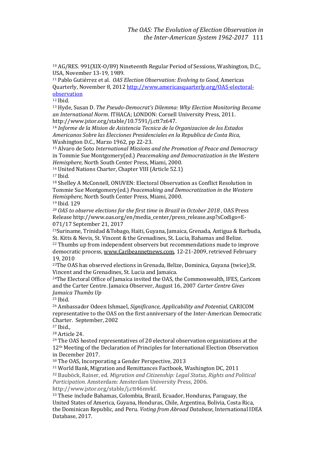<sup>10</sup> AG/RES. 991(XIX-O/89) Nineteenth Regular Period of Sessions, Washington, D.C., USA, November 13-19, 1989.

<sup>11</sup> Pablo Gutiérrez et al. *OAS Election Observation: Evolving to Good,* Americas Quarterly, November 8, 201[2 http://www.americasquarterly.org/OAS-electoral](http://www.americasquarterly.org/OAS-electoral-observation)[observation](http://www.americasquarterly.org/OAS-electoral-observation)

<sup>12</sup> Ibid.

<sup>13</sup> Hyde, Susan D. *The Pseudo-Democrat's Dilemma: Why Election Monitoring Became an International Norm*. ITHACA; LONDON: Cornell University Press, 2011. http://www.jstor.org/stable/10.7591/j.ctt7z647.

<sup>14</sup> *Informe de la Mision de Asistencia Tecnica de la Organizacion de los Estados Americanos Sobre las Elecciones Presidenciales en la Republica de Costa Rica,*  Washington D.C., Marzo 1962, pp 22-23.

<sup>15</sup> Alvaro de Soto *International Missions and the Promotion of Peace and Democracy*  in Tommie Sue Montgomery(ed.) *Peacemaking and Democratization in the Western Hemisphere,* North South Center Press, Miami, 2000.

<sup>16</sup> United Nations Charter, Chapter VIII (Article 52.1)

<sup>17</sup> Ibid.

<sup>18</sup> Shelley A McConnell, ONUVEN: Electoral Observation as Conflict Resolution in Tommie Sue Montgomery(ed.) *Peacemaking and Democratization in the Western Hemisphere,* North South Center Press, Miami, 2000.

<sup>19</sup> Ibid. 129

*<sup>20</sup> OAS to observe elections for the first time in Brazil in October 2018 ,* OAS Press Release http://www.oas.org/en/media\_center/press\_release.asp?sCodigo=E-071/17 September 21, 2017

<sup>21</sup>Suriname, Trinidad &Tobago, Haiti, Guyana, Jamaica, Grenada, Antigua & Barbuda, St. Kitts & Nevis, St. Vincent & the Grenadines, St. Lucia, Bahamas and Belize.

<sup>22</sup> Thumbs up from independent observers but recommendations made to improve democratic process[, www.Caribeannetnews.com,](http://www.caribeannetnews.com/) 12-21-2009, retrieved February 19, 2010

<sup>23</sup>The OAS has observed elections in Grenada, Belize, Dominica, Guyana (twice), St. Vincent and the Grenadines, St. Lucia and Jamaica.

<sup>24</sup>The Electoral Office of Jamaica invited the OAS, the Commonwealth, IFES, Caricom and the Carter Centre. Jamaica Observer, August 16, 2007 *Carter Centre Gives Jamaica Thumbs Up*

<sup>25</sup> Ibid.

<sup>26</sup> Ambassador Odeen Ishmael, *Significance, Applicability and Potential,* CARICOM representative to the OAS on the first anniversary of the Inter-American Democratic Charter. September, 2002

 $27$  Ibid.,

<sup>28</sup> Article 24.

<sup>29</sup> The OAS hosted representatives of 20 electoral observation organizations at the 12th Meeting of the Declaration of Principles for International Election Observation in December 2017.

<sup>30</sup> The OAS, Incorporating a Gender Perspective, 2013

<sup>31</sup> World Bank, Migration and Remittances Factbook, Washington DC, 2011 <sup>32</sup> Bauböck, Rainer, ed. *Migration and Citizenship: Legal Status, Rights and Political Participation*. Amsterdam: Amsterdam University Press, 2006. http://www.jstor.org/stable/j.ctt46mvkf.

<sup>33</sup> These include Bahamas, Colombia, Brazil, Ecuador, Honduras, Paraguay, the United States of America, Guyana, Honduras, Chile, Argentina, Bolivia, Costa Rica, the Dominican Republic, and Peru. *Voting from Abroad Database*, International IDEA Database, 2017.